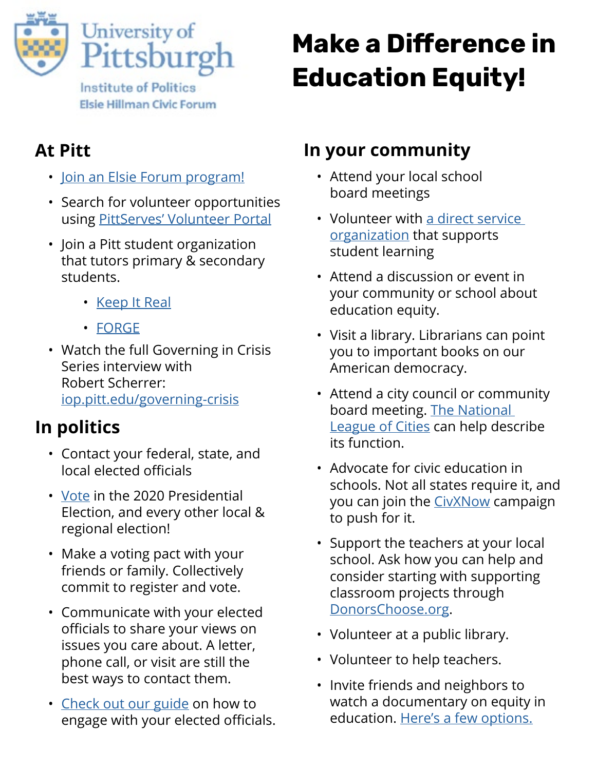

# **Make a Difference in Education Equity!**

## **At Pitt**

- [Join an Elsie Forum program!](https://www.elsiehillmanforum.pitt.edu/student-programs)
- Search for volunteer opportunities using [PittServes' Volunteer Portal](https://volunteer.pitt.edu/)
- Join a Pitt student organization that tutors primary & secondary students.
	- <u>[Keep It Real](https://keepitrealpitt.wixsite.com/keepitreal)</u>
	- [FORGE](http://www.pitt.edu/~sorc/forge/)
- Watch the full Governing in Crisis Series interview with Robert Scherrer: [iop.pitt.edu/governing-crisis](http://iop.pitt.edu/governing-crisis)

# **In politics**

- Contact your federal, state, and local elected officials
- [Vote](https://pittvotes.turbovote.org/) in the 2020 Presidential Election, and every other local & regional election!
- Make a voting pact with your friends or family. Collectively commit to register and vote.
- Communicate with your elected officials to share your views on issues you care about. A letter, phone call, or visit are still the best ways to contact them.
- [Check out our guide](https://www.elsiehillmanforum.pitt.edu/sites/default/files/pictures/L4D_photo/Effective.Engagement.with.elected official-web.pdf) on how to engage with your elected officials.

### **In your community**

- Attend your local school board meetings
- [Volunteer with a direct service](#page-1-0)  organization that supports student learning
- Attend a discussion or event in your community or school about education equity.
- Visit a library. Librarians can point you to important books on our American democracy.
- Attend a city council or community board meeting. [The National](https://www.nlc.org/)  [League of Cities](https://www.nlc.org/) can help describe its function.
- Advocate for civic education in schools. Not all states require it, and you can join the [CivXNow](https://www.civxnow.org/) campaign to push for it.
- Support the teachers at your local school. Ask how you can help and consider starting with supporting classroom projects through [DonorsChoose.org.](http://DonorsChoose.org)
- Volunteer at a public library.
- Volunteer to help teachers.
- Invite friends and neighbors to watch a documentary on equity in education. [Here's a few options.](https://www.edutopia.org/education-reform-documentaries)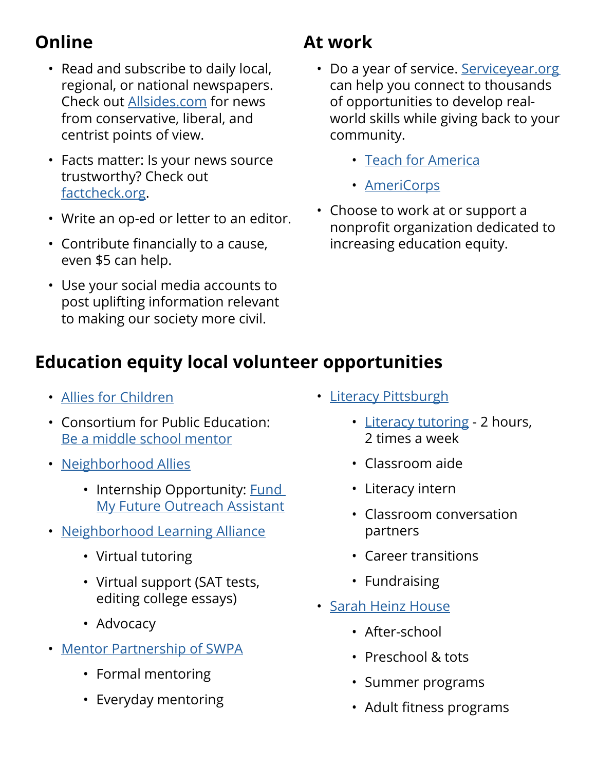# <span id="page-1-0"></span>**Online**

- Read and subscribe to daily local, regional, or national newspapers. Check out [Allsides.com](http://Allsides.com) for news from conservative, liberal, and centrist points of view.
- Facts matter: Is your news source trustworthy? Check out [factcheck.org.](http://factcheck.org)
- Write an op-ed or letter to an editor.
- Contribute financially to a cause, even \$5 can help.
- Use your social media accounts to post uplifting information relevant to making our society more civil.

## **At work**

- Do a year of service. Serviceyear.org can help you connect to thousands of opportunities to develop realworld skills while giving back to your community.
	- [Teach for America](https://www.teachforamerica.org/)
	- [AmeriCorps](https://www.nationalservice.gov/programs/americorps)
- Choose to work at or support a nonprofit organization dedicated to increasing education equity.

#### **Education equity local volunteer opportunities**

- [Allies for Children](http://alliesforchildren.org/what-you-can-do/)
- Consortium for Public Education: [Be a middle school mentor](https://www.theconsortiumforpubliceducation.org/middle-school-mentor/)
- [Neighborhood Allies](http://neighborhoodallies.com/get-involved/join-one-networks/)
	- Internship Opportunity: **Fund** [My Future Outreach Assistant](http://neighborhoodallies.com/get-involved/opportunities/)
- [Neighborhood Learning Alliance](https://neighborhoodlearning.org/volunteer)
	- Virtual tutoring
	- Virtual support (SAT tests, editing college essays)
	- Advocacy
- [Mentor Partnership of SWPA](http://www.mentoringpittsburgh.org/pages/get-involved-individuals)
	- Formal mentoring
	- Everyday mentoring
- [Literacy Pittsburgh](https://www.literacypittsburgh.org/volunteer-opportunities-pittsburgh/)
	- [Literacy tutoring](https://www.literacypittsburgh.org/volunteer-work/)  2 hours, 2 times a week
	- Classroom aide
	- Literacy intern
	- Classroom conversation partners
	- Career transitions
	- Fundraising
- [Sarah Heinz House](https://www.sarahheinzhouse.org/get-involved/volunteers/)
	- After-school
	- Preschool & tots
	- Summer programs
	- Adult fitness programs